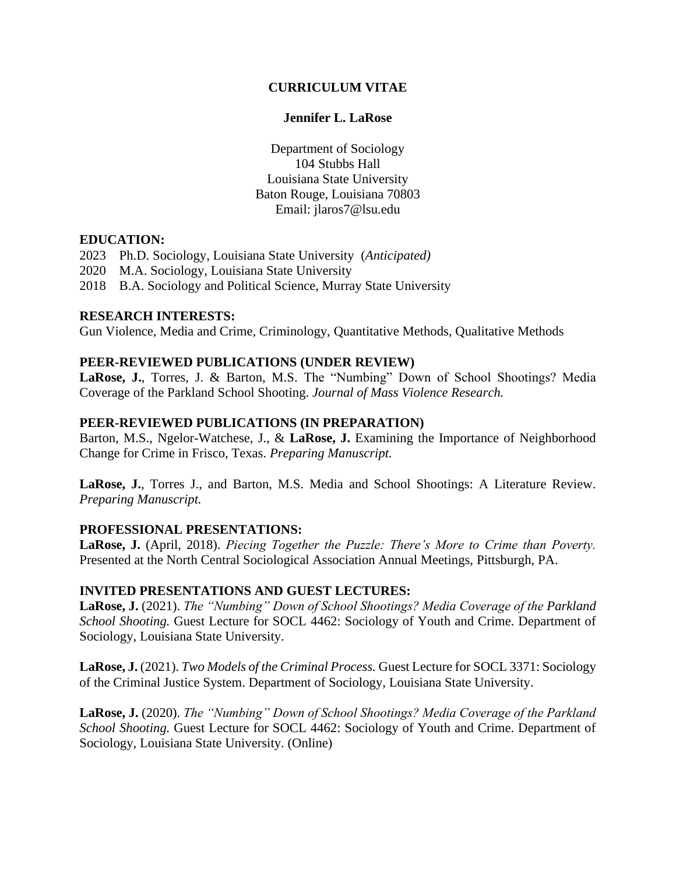# **CURRICULUM VITAE**

## **Jennifer L. LaRose**

Department of Sociology 104 Stubbs Hall Louisiana State University Baton Rouge, Louisiana 70803 Email: jlaros7@lsu.edu

## **EDUCATION:**

- 2023 Ph.D. Sociology, Louisiana State University (*Anticipated)*
- 2020 M.A. Sociology, Louisiana State University
- 2018 B.A. Sociology and Political Science, Murray State University

#### **RESEARCH INTERESTS:**

Gun Violence, Media and Crime, Criminology, Quantitative Methods, Qualitative Methods

## **PEER-REVIEWED PUBLICATIONS (UNDER REVIEW)**

**LaRose, J.**, Torres, J. & Barton, M.S. The "Numbing" Down of School Shootings? Media Coverage of the Parkland School Shooting. *Journal of Mass Violence Research.*

#### **PEER-REVIEWED PUBLICATIONS (IN PREPARATION)**

Barton, M.S., Ngelor-Watchese, J., & **LaRose, J.** Examining the Importance of Neighborhood Change for Crime in Frisco, Texas. *Preparing Manuscript.*

**LaRose, J.**, Torres J., and Barton, M.S. Media and School Shootings: A Literature Review. *Preparing Manuscript.*

## **PROFESSIONAL PRESENTATIONS:**

**LaRose, J.** (April, 2018). *Piecing Together the Puzzle: There's More to Crime than Poverty.* Presented at the North Central Sociological Association Annual Meetings, Pittsburgh, PA.

#### **INVITED PRESENTATIONS AND GUEST LECTURES:**

**LaRose, J.** (2021). *The "Numbing" Down of School Shootings? Media Coverage of the Parkland School Shooting.* Guest Lecture for SOCL 4462: Sociology of Youth and Crime. Department of Sociology, Louisiana State University.

**LaRose, J.** (2021). *Two Models of the Criminal Process.* Guest Lecture for SOCL 3371: Sociology of the Criminal Justice System. Department of Sociology, Louisiana State University.

**LaRose, J.** (2020). *The "Numbing" Down of School Shootings? Media Coverage of the Parkland School Shooting.* Guest Lecture for SOCL 4462: Sociology of Youth and Crime. Department of Sociology, Louisiana State University. (Online)